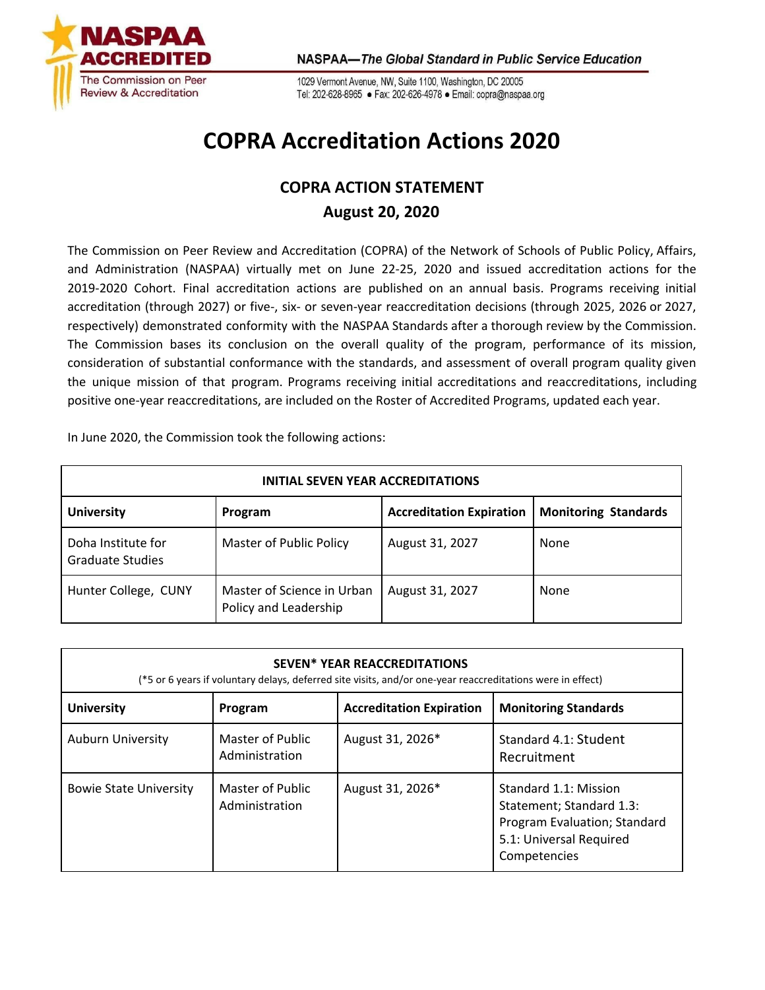

1029 Vermont Avenue, NW, Suite 1100, Washington, DC 20005 Tel: 202-628-8965 · Fax: 202-626-4978 · Email: copra@naspaa.org

## **COPRA Accreditation Actions 2020**

## **COPRA ACTION STATEMENT August 20, 2020**

The Commission on Peer Review and Accreditation (COPRA) of the Network of Schools of Public Policy, Affairs, and Administration (NASPAA) virtually met on June 22-25, 2020 and issued accreditation actions for the 2019-2020 Cohort. Final accreditation actions are published on an annual basis. Programs receiving initial accreditation (through 2027) or five-, six- or seven-year reaccreditation decisions (through 2025, 2026 or 2027, respectively) demonstrated conformity with the NASPAA Standards after a thorough review by the Commission. The Commission bases its conclusion on the overall quality of the program, performance of its mission, consideration of substantial conformance with the standards, and assessment of overall program quality given the unique mission of that program. Programs receiving initial accreditations and reaccreditations, including positive one-year reaccreditations, are included on the Roster of Accredited Programs, updated each year.

In June 2020, the Commission took the following actions:

| <b>INITIAL SEVEN YEAR ACCREDITATIONS</b>                                                       |                                                     |                 |             |  |
|------------------------------------------------------------------------------------------------|-----------------------------------------------------|-----------------|-------------|--|
| <b>Accreditation Expiration</b><br><b>University</b><br><b>Monitoring Standards</b><br>Program |                                                     |                 |             |  |
| Doha Institute for<br>Graduate Studies                                                         | Master of Public Policy                             | August 31, 2027 | None        |  |
| Hunter College, CUNY                                                                           | Master of Science in Urban<br>Policy and Leadership | August 31, 2027 | <b>None</b> |  |

| <b>SEVEN* YEAR REACCREDITATIONS</b><br>(*5 or 6 years if voluntary delays, deferred site visits, and/or one-year reaccreditations were in effect) |                                    |                                 |                                                                                                                              |
|---------------------------------------------------------------------------------------------------------------------------------------------------|------------------------------------|---------------------------------|------------------------------------------------------------------------------------------------------------------------------|
| <b>University</b>                                                                                                                                 | Program                            | <b>Accreditation Expiration</b> | <b>Monitoring Standards</b>                                                                                                  |
| <b>Auburn University</b>                                                                                                                          | Master of Public<br>Administration | August 31, 2026*                | Standard 4.1: Student<br>Recruitment                                                                                         |
| <b>Bowie State University</b>                                                                                                                     | Master of Public<br>Administration | August 31, 2026*                | Standard 1.1: Mission<br>Statement; Standard 1.3:<br>Program Evaluation; Standard<br>5.1: Universal Required<br>Competencies |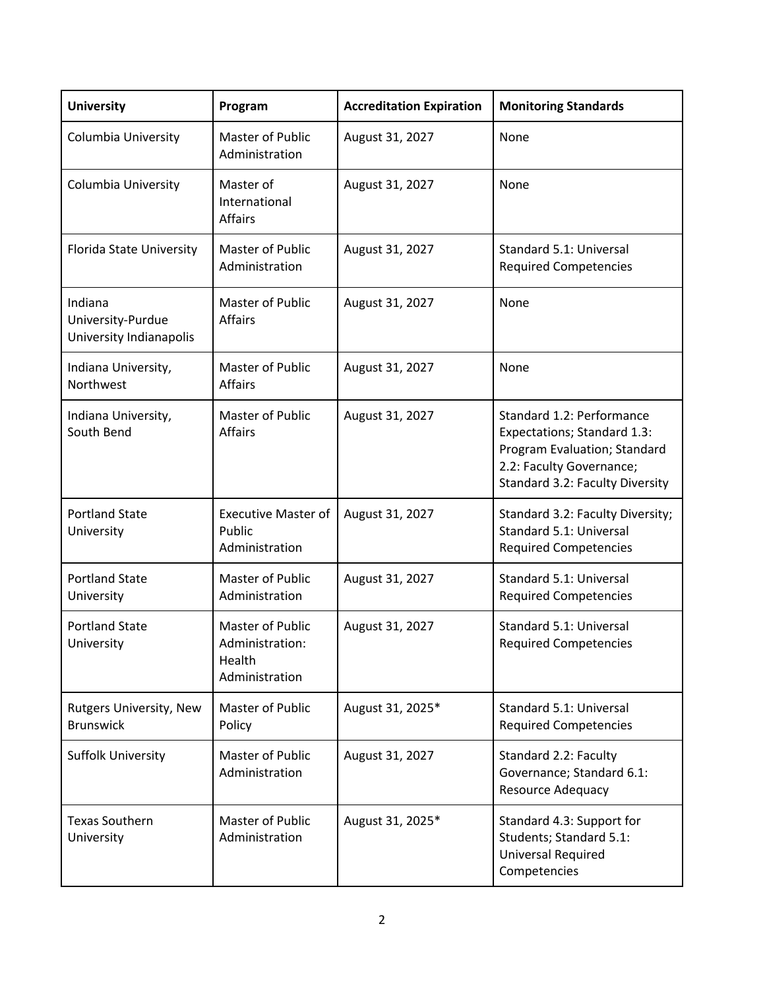| <b>University</b>                                       | Program                                                         | <b>Accreditation Expiration</b> | <b>Monitoring Standards</b>                                                                                                                             |
|---------------------------------------------------------|-----------------------------------------------------------------|---------------------------------|---------------------------------------------------------------------------------------------------------------------------------------------------------|
| Columbia University                                     | Master of Public<br>Administration                              | August 31, 2027                 | None                                                                                                                                                    |
| Columbia University                                     | Master of<br>International<br><b>Affairs</b>                    | August 31, 2027                 | None                                                                                                                                                    |
| Florida State University                                | Master of Public<br>Administration                              | August 31, 2027                 | Standard 5.1: Universal<br><b>Required Competencies</b>                                                                                                 |
| Indiana<br>University-Purdue<br>University Indianapolis | Master of Public<br><b>Affairs</b>                              | August 31, 2027                 | None                                                                                                                                                    |
| Indiana University,<br>Northwest                        | Master of Public<br><b>Affairs</b>                              | August 31, 2027                 | None                                                                                                                                                    |
| Indiana University,<br>South Bend                       | Master of Public<br><b>Affairs</b>                              | August 31, 2027                 | Standard 1.2: Performance<br>Expectations; Standard 1.3:<br>Program Evaluation; Standard<br>2.2: Faculty Governance;<br>Standard 3.2: Faculty Diversity |
| <b>Portland State</b><br>University                     | <b>Executive Master of</b><br>Public<br>Administration          | August 31, 2027                 | Standard 3.2: Faculty Diversity;<br>Standard 5.1: Universal<br><b>Required Competencies</b>                                                             |
| <b>Portland State</b><br>University                     | Master of Public<br>Administration                              | August 31, 2027                 | Standard 5.1: Universal<br><b>Required Competencies</b>                                                                                                 |
| <b>Portland State</b><br>University                     | Master of Public<br>Administration:<br>Health<br>Administration | August 31, 2027                 | Standard 5.1: Universal<br><b>Required Competencies</b>                                                                                                 |
| Rutgers University, New<br><b>Brunswick</b>             | Master of Public<br>Policy                                      | August 31, 2025*                | Standard 5.1: Universal<br><b>Required Competencies</b>                                                                                                 |
| <b>Suffolk University</b>                               | Master of Public<br>Administration                              | August 31, 2027                 | Standard 2.2: Faculty<br>Governance; Standard 6.1:<br>Resource Adequacy                                                                                 |
| <b>Texas Southern</b><br>University                     | Master of Public<br>Administration                              | August 31, 2025*                | Standard 4.3: Support for<br>Students; Standard 5.1:<br><b>Universal Required</b><br>Competencies                                                       |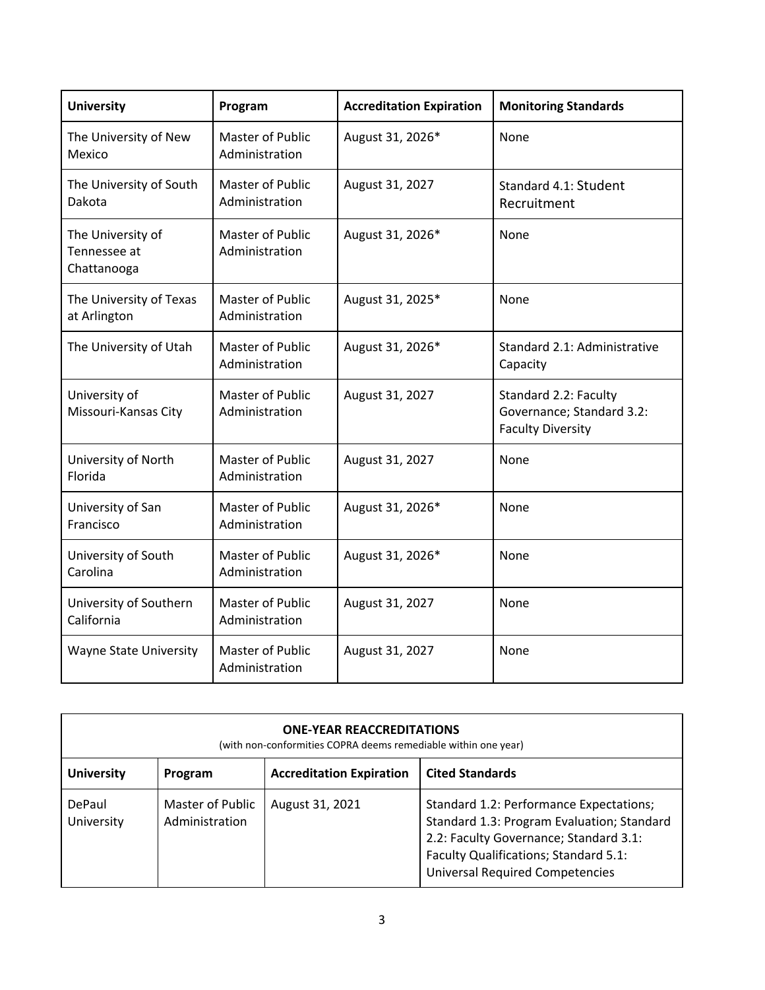| <b>University</b>                                | Program                                   | <b>Accreditation Expiration</b> | <b>Monitoring Standards</b>                                                    |
|--------------------------------------------------|-------------------------------------------|---------------------------------|--------------------------------------------------------------------------------|
| The University of New<br>Mexico                  | Master of Public<br>Administration        | August 31, 2026*                | None                                                                           |
| The University of South<br>Dakota                | Master of Public<br>Administration        | August 31, 2027                 | Standard 4.1: Student<br>Recruitment                                           |
| The University of<br>Tennessee at<br>Chattanooga | <b>Master of Public</b><br>Administration | August 31, 2026*                | None                                                                           |
| The University of Texas<br>at Arlington          | Master of Public<br>Administration        | August 31, 2025*                | None                                                                           |
| The University of Utah                           | <b>Master of Public</b><br>Administration | August 31, 2026*                | Standard 2.1: Administrative<br>Capacity                                       |
| University of<br>Missouri-Kansas City            | <b>Master of Public</b><br>Administration | August 31, 2027                 | Standard 2.2: Faculty<br>Governance; Standard 3.2:<br><b>Faculty Diversity</b> |
| University of North<br>Florida                   | <b>Master of Public</b><br>Administration | August 31, 2027                 | None                                                                           |
| University of San<br>Francisco                   | Master of Public<br>Administration        | August 31, 2026*                | None                                                                           |
| University of South<br>Carolina                  | <b>Master of Public</b><br>Administration | August 31, 2026*                | None                                                                           |
| University of Southern<br>California             | <b>Master of Public</b><br>Administration | August 31, 2027                 | None                                                                           |
| <b>Wayne State University</b>                    | Master of Public<br>Administration        | August 31, 2027                 | None                                                                           |

| <b>ONE-YEAR REACCREDITATIONS</b><br>(with non-conformities COPRA deems remediable within one year) |                                    |                                 |                                                                                                                                                                                                                    |
|----------------------------------------------------------------------------------------------------|------------------------------------|---------------------------------|--------------------------------------------------------------------------------------------------------------------------------------------------------------------------------------------------------------------|
| <b>University</b>                                                                                  | Program                            | <b>Accreditation Expiration</b> | <b>Cited Standards</b>                                                                                                                                                                                             |
| DePaul<br>University                                                                               | Master of Public<br>Administration | August 31, 2021                 | Standard 1.2: Performance Expectations;<br>Standard 1.3: Program Evaluation; Standard<br>2.2: Faculty Governance; Standard 3.1:<br>Faculty Qualifications; Standard 5.1:<br><b>Universal Required Competencies</b> |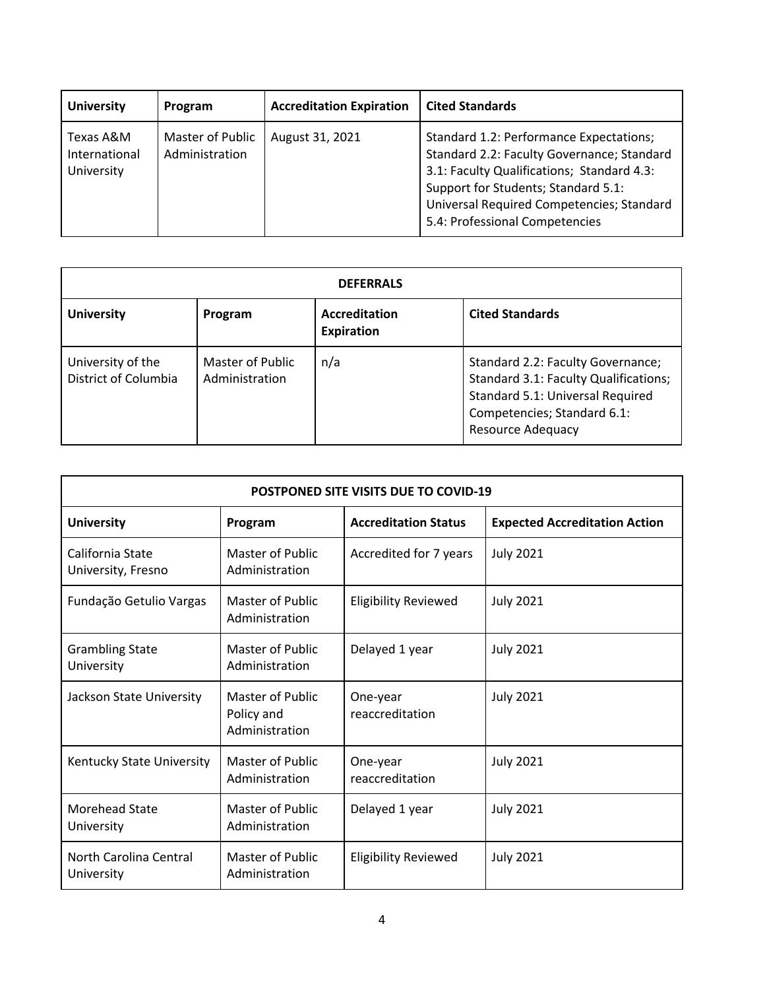| <b>University</b>                        | Program                            | <b>Accreditation Expiration</b> | <b>Cited Standards</b>                                                                                                                                                                                                                                    |
|------------------------------------------|------------------------------------|---------------------------------|-----------------------------------------------------------------------------------------------------------------------------------------------------------------------------------------------------------------------------------------------------------|
| Texas A&M<br>International<br>University | Master of Public<br>Administration | August 31, 2021                 | Standard 1.2: Performance Expectations;<br>Standard 2.2: Faculty Governance; Standard<br>3.1: Faculty Qualifications; Standard 4.3:<br>Support for Students; Standard 5.1:<br>Universal Required Competencies; Standard<br>5.4: Professional Competencies |

| <b>DEFERRALS</b>                          |                                    |                                           |                                                                                                                                                                           |
|-------------------------------------------|------------------------------------|-------------------------------------------|---------------------------------------------------------------------------------------------------------------------------------------------------------------------------|
| <b>University</b>                         | Program                            | <b>Accreditation</b><br><b>Expiration</b> | <b>Cited Standards</b>                                                                                                                                                    |
| University of the<br>District of Columbia | Master of Public<br>Administration | n/a                                       | Standard 2.2: Faculty Governance;<br>Standard 3.1: Faculty Qualifications;<br>Standard 5.1: Universal Required<br>Competencies; Standard 6.1:<br><b>Resource Adequacy</b> |

| <b>POSTPONED SITE VISITS DUE TO COVID-19</b> |                                                         |                             |                                      |
|----------------------------------------------|---------------------------------------------------------|-----------------------------|--------------------------------------|
| <b>University</b>                            | Program                                                 | <b>Accreditation Status</b> | <b>Expected Accreditation Action</b> |
| California State<br>University, Fresno       | Master of Public<br>Administration                      | Accredited for 7 years      | <b>July 2021</b>                     |
| Fundação Getulio Vargas                      | Master of Public<br>Administration                      | <b>Eligibility Reviewed</b> | <b>July 2021</b>                     |
| <b>Grambling State</b><br>University         | <b>Master of Public</b><br>Administration               | Delayed 1 year              | <b>July 2021</b>                     |
| Jackson State University                     | <b>Master of Public</b><br>Policy and<br>Administration | One-year<br>reaccreditation | <b>July 2021</b>                     |
| Kentucky State University                    | <b>Master of Public</b><br>Administration               | One-year<br>reaccreditation | <b>July 2021</b>                     |
| <b>Morehead State</b><br>University          | Master of Public<br>Administration                      | Delayed 1 year              | <b>July 2021</b>                     |
| North Carolina Central<br>University         | Master of Public<br>Administration                      | <b>Eligibility Reviewed</b> | <b>July 2021</b>                     |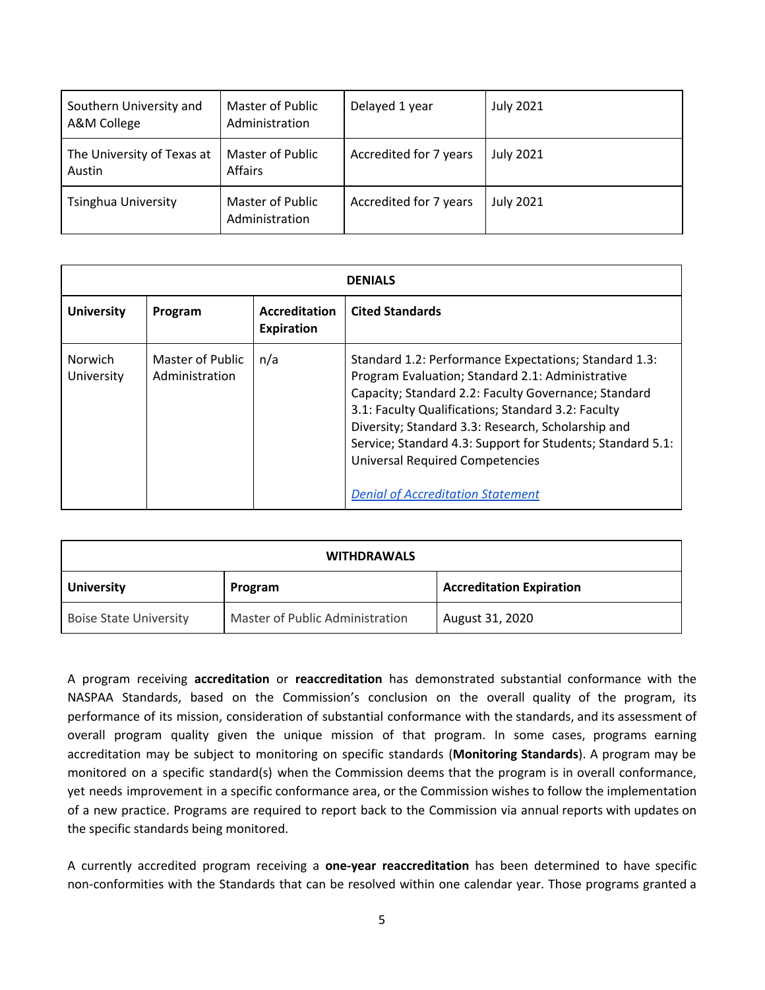| Southern University and<br>A&M College | Master of Public<br>Administration | Delayed 1 year         | <b>July 2021</b> |
|----------------------------------------|------------------------------------|------------------------|------------------|
| The University of Texas at<br>Austin   | Master of Public<br>Affairs        | Accredited for 7 years | <b>July 2021</b> |
| <b>Tsinghua University</b>             | Master of Public<br>Administration | Accredited for 7 years | <b>July 2021</b> |

| <b>DENIALS</b>        |                                    |                                    |                                                                                                                                                                                                                                                                                                                                                                                                                                   |
|-----------------------|------------------------------------|------------------------------------|-----------------------------------------------------------------------------------------------------------------------------------------------------------------------------------------------------------------------------------------------------------------------------------------------------------------------------------------------------------------------------------------------------------------------------------|
| <b>University</b>     | Program                            | <b>Accreditation</b><br>Expiration | <b>Cited Standards</b>                                                                                                                                                                                                                                                                                                                                                                                                            |
| Norwich<br>University | Master of Public<br>Administration | n/a                                | Standard 1.2: Performance Expectations; Standard 1.3:<br>Program Evaluation; Standard 2.1: Administrative<br>Capacity; Standard 2.2: Faculty Governance; Standard<br>3.1: Faculty Qualifications; Standard 3.2: Faculty<br>Diversity; Standard 3.3: Research, Scholarship and<br>Service; Standard 4.3: Support for Students; Standard 5.1:<br><b>Universal Required Competencies</b><br><b>Denial of Accreditation Statement</b> |

| <b>WITHDRAWALS</b>            |                                 |                                 |  |
|-------------------------------|---------------------------------|---------------------------------|--|
| <b>University</b>             | Program                         | <b>Accreditation Expiration</b> |  |
| <b>Boise State University</b> | Master of Public Administration | August 31, 2020                 |  |

A program receiving **accreditation** or **reaccreditation** has demonstrated substantial conformance with the NASPAA Standards, based on the Commission's conclusion on the overall quality of the program, its performance of its mission, consideration of substantial conformance with the standards, and its assessment of overall program quality given the unique mission of that program. In some cases, programs earning accreditation may be subject to monitoring on specific standards (**Monitoring Standards**). A program may be monitored on a specific standard(s) when the Commission deems that the program is in overall conformance, yet needs improvement in a specific conformance area, or the Commission wishes to follow the implementation of a new practice. Programs are required to report back to the Commission via annual reports with updates on the specific standards being monitored.

A currently accredited program receiving a **one-year reaccreditation** has been determined to have specific non-conformities with the Standards that can be resolved within one calendar year. Those programs granted a